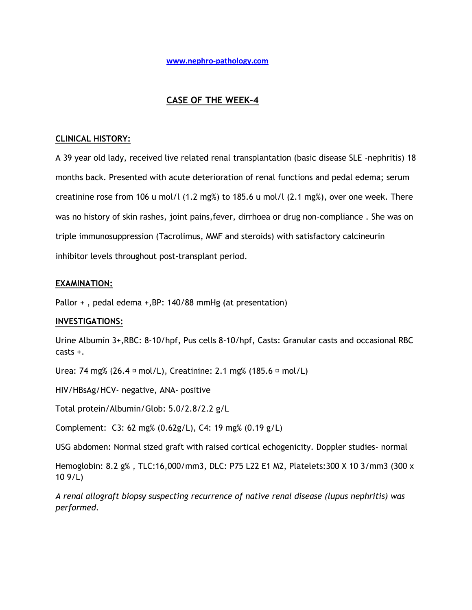# **CASE OF THE WEEK-4**

## **CLINICAL HISTORY:**

A 39 year old lady, received live related renal transplantation (basic disease SLE -nephritis) 18 months back. Presented with acute deterioration of renal functions and pedal edema; serum creatinine rose from 106 u mol/l  $(1.2 \text{ mg})$  to 185.6 u mol/l  $(2.1 \text{ mg})$ , over one week. There was no history of skin rashes, joint pains,fever, dirrhoea or drug non-compliance . She was on triple immunosuppression (Tacrolimus, MMF and steroids) with satisfactory calcineurin inhibitor levels throughout post-transplant period.

## **EXAMINATION:**

Pallor + , pedal edema +,BP: 140/88 mmHg (at presentation)

## **INVESTIGATIONS:**

Urine Albumin 3+,RBC: 8-10/hpf, Pus cells 8-10/hpf, Casts: Granular casts and occasional RBC casts +.

Urea: 74 mg% (26.4  $\sigma$  mol/L), Creatinine: 2.1 mg% (185.6  $\sigma$  mol/L)

HIV/HBsAg/HCV- negative, ANA- positive

Total protein/Albumin/Glob: 5.0/2.8/2.2 g/L

Complement: C3: 62 mg% (0.62g/L), C4: 19 mg% (0.19 g/L)

USG abdomen: Normal sized graft with raised cortical echogenicity. Doppler studies- normal

Hemoglobin: 8.2 g% , TLC:16,000/mm3, DLC: P75 L22 E1 M2, Platelets:300 X 10 3/mm3 (300 x 10 9/L)

*A renal allograft biopsy suspecting recurrence of native renal disease (lupus nephritis) was performed.*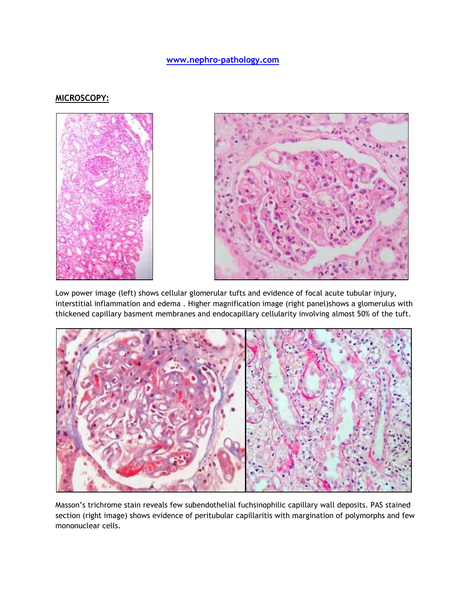## **MICROSCOPY:**



Low power image (left) shows cellular glomerular tufts and evidence of focal acute tubular injury, interstitial inflammation and edema . Higher magnification image (right panel)shows a glomerulus with thickened capillary basment membranes and endocapillary cellularity involving almost 50% of the tuft.



Masson's trichrome stain reveals few subendothelial fuchsinophilic capillary wall deposits. PAS stained section (right image) shows evidence of peritubular capillaritis with margination of polymorphs and few mononuclear cells.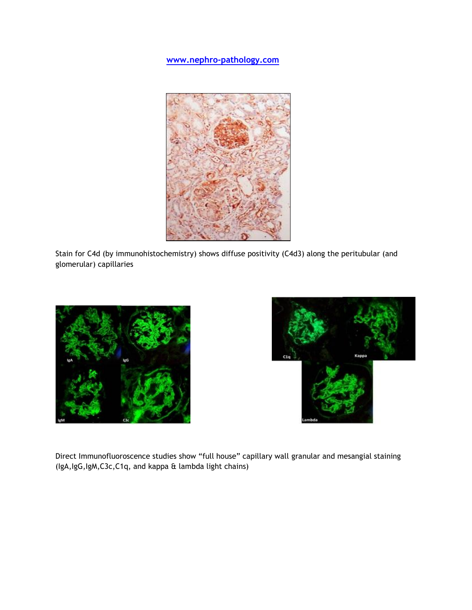

Stain for C4d (by immunohistochemistry) shows diffuse positivity (C4d3) along the peritubular (and glomerular) capillaries





Direct Immunofluoroscence studies show "full house" capillary wall granular and mesangial staining (IgA,IgG,IgM,C3c,C1q, and kappa & lambda light chains)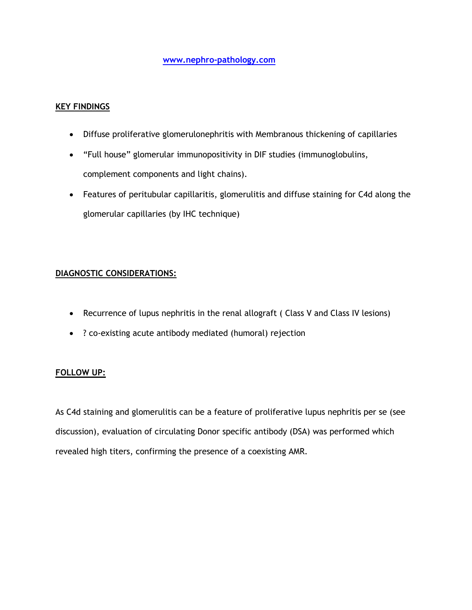## **KEY FINDINGS**

- Diffuse proliferative glomerulonephritis with Membranous thickening of capillaries
- "Full house" glomerular immunopositivity in DIF studies (immunoglobulins, complement components and light chains).
- Features of peritubular capillaritis, glomerulitis and diffuse staining for C4d along the glomerular capillaries (by IHC technique)

# **DIAGNOSTIC CONSIDERATIONS:**

- Recurrence of lupus nephritis in the renal allograft ( Class V and Class IV lesions)
- ? co-existing acute antibody mediated (humoral) rejection

## **FOLLOW UP:**

As C4d staining and glomerulitis can be a feature of proliferative lupus nephritis per se (see discussion), evaluation of circulating Donor specific antibody (DSA) was performed which revealed high titers, confirming the presence of a coexisting AMR.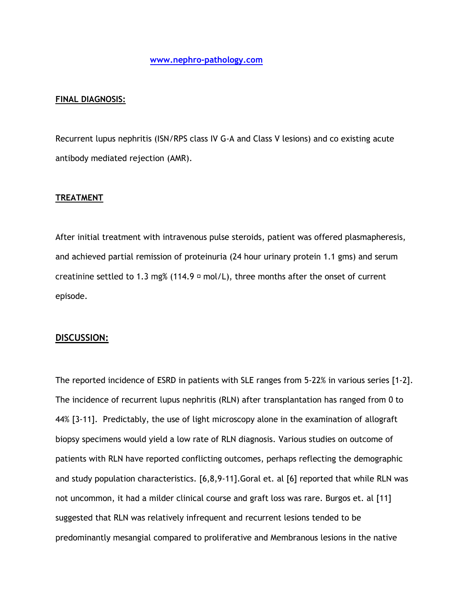#### **FINAL DIAGNOSIS:**

Recurrent lupus nephritis (ISN/RPS class IV G-A and Class V lesions) and co existing acute antibody mediated rejection (AMR).

#### **TREATMENT**

After initial treatment with intravenous pulse steroids, patient was offered plasmapheresis, and achieved partial remission of proteinuria (24 hour urinary protein 1.1 gms) and serum creatinine settled to 1.3 mg% (114.9  $\sigma$  mol/L), three months after the onset of current episode.

#### **DISCUSSION:**

The reported incidence of ESRD in patients with SLE ranges from 5-22% in various series [1-2]. The incidence of recurrent lupus nephritis (RLN) after transplantation has ranged from 0 to 44% [3-11]. Predictably, the use of light microscopy alone in the examination of allograft biopsy specimens would yield a low rate of RLN diagnosis. Various studies on outcome of patients with RLN have reported conflicting outcomes, perhaps reflecting the demographic and study population characteristics. [6,8,9-11].Goral et. al [6] reported that while RLN was not uncommon, it had a milder clinical course and graft loss was rare. Burgos et. al [11] suggested that RLN was relatively infrequent and recurrent lesions tended to be predominantly mesangial compared to proliferative and Membranous lesions in the native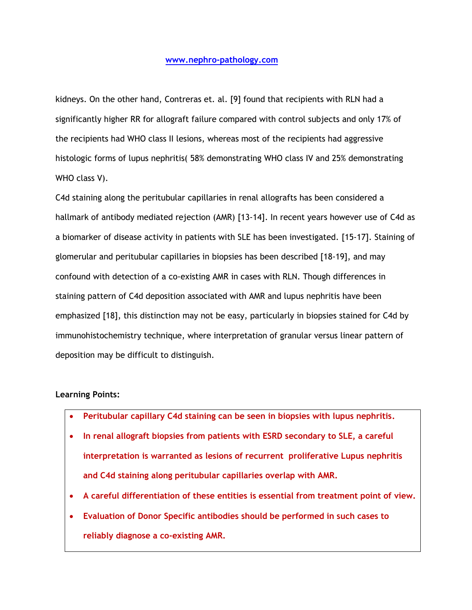kidneys. On the other hand, Contreras et. al. [9] found that recipients with RLN had a significantly higher RR for allograft failure compared with control subjects and only 17% of the recipients had WHO class II lesions, whereas most of the recipients had aggressive histologic forms of lupus nephritis( 58% demonstrating WHO class IV and 25% demonstrating WHO class V).

C4d staining along the peritubular capillaries in renal allografts has been considered a hallmark of antibody mediated rejection (AMR) [13-14]. In recent years however use of C4d as a biomarker of disease activity in patients with SLE has been investigated. [15-17]. Staining of glomerular and peritubular capillaries in biopsies has been described [18-19], and may confound with detection of a co-existing AMR in cases with RLN. Though differences in staining pattern of C4d deposition associated with AMR and lupus nephritis have been emphasized [18], this distinction may not be easy, particularly in biopsies stained for C4d by immunohistochemistry technique, where interpretation of granular versus linear pattern of deposition may be difficult to distinguish.

## **Learning Points:**

- **Peritubular capillary C4d staining can be seen in biopsies with lupus nephritis.**
- **In renal allograft biopsies from patients with ESRD secondary to SLE, a careful interpretation is warranted as lesions of recurrent proliferative Lupus nephritis and C4d staining along peritubular capillaries overlap with AMR.**
- **A careful differentiation of these entities is essential from treatment point of view.**
- **Evaluation of Donor Specific antibodies should be performed in such cases to reliably diagnose a co-existing AMR.**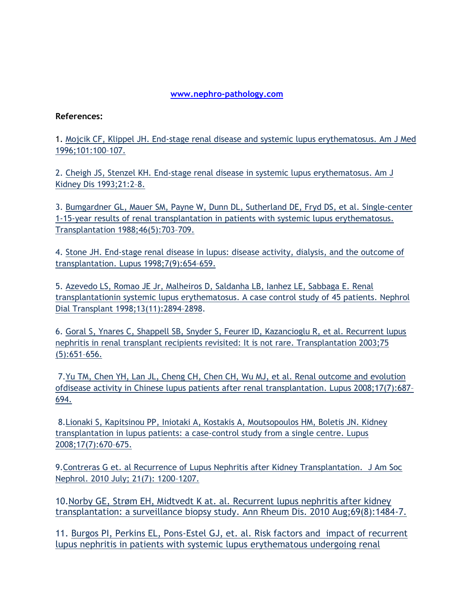## **References:**

1. [Mojcik CF, Klippel JH. End-stage renal disease and systemic lupus erythematosus. Am J Med](http://www.ncbi.nlm.nih.gov/pubmed?term=Am%20J%20Med%201996%3B101%3A100%E2%80%93107.%20)  [1996;101:100](http://www.ncbi.nlm.nih.gov/pubmed?term=Am%20J%20Med%201996%3B101%3A100%E2%80%93107.%20)–107.

2. [Cheigh JS, Stenzel KH. End-stage renal disease in systemic lupus](http://www.ncbi.nlm.nih.gov/pubmed/8418620) erythematosus. Am J [Kidney Dis 1993;21:2](http://www.ncbi.nlm.nih.gov/pubmed/8418620)–8.

3. [Bumgardner GL, Mauer SM, Payne W, Dunn DL, Sutherland DE, Fryd DS, et al. Single-center](http://www.ncbi.nlm.nih.gov/pubmed/3057693)  [1-15-year results of renal transplantation in patients with systemic lupus erythematosus.](http://www.ncbi.nlm.nih.gov/pubmed/3057693)  [Transplantation 1988;46\(5\):703](http://www.ncbi.nlm.nih.gov/pubmed/3057693)–709.

4. [Stone JH. End-stage renal disease in lupus: disease activity, dialysis, and the outcome of](http://www.ncbi.nlm.nih.gov/pubmed?term=Lupus%201998%3B7(9)%3A654%E2%80%93659.%20)  [transplantation. Lupus 1998;7\(9\):654](http://www.ncbi.nlm.nih.gov/pubmed?term=Lupus%201998%3B7(9)%3A654%E2%80%93659.%20)–659.

5. Azevedo LS, Romao JE Jr, Malheiros D, Saldanha LB, Ianhez LE, Sabbaga E. Renal [transplantationin systemic lupus erythematosus. A case control study of 45 patients. Nephrol](http://www.ncbi.nlm.nih.gov/pubmed?term=Nephrol%20Dial%20Transplant%201998%3B13(11)%3A2894%E2%80%932898.%20)  [Dial Transplant 1998;13\(11\):2894](http://www.ncbi.nlm.nih.gov/pubmed?term=Nephrol%20Dial%20Transplant%201998%3B13(11)%3A2894%E2%80%932898.%20)–2898.

6. [Goral S, Ynares C, Shappell SB, Snyder S, Feurer ID, Kazancioglu R, et al. Recurrent lupus](http://www.ncbi.nlm.nih.gov/pubmed/12640304)  nephritis [in renal transplant recipients revisited: It is not rare. Transplantation](http://www.ncbi.nlm.nih.gov/pubmed/12640304) 2003;75 [\(5\):651](http://www.ncbi.nlm.nih.gov/pubmed/12640304)–656.

7[.Yu TM, Chen YH, Lan JL, Cheng CH, Chen CH, Wu MJ, et al. Renal outcome and evolution](http://www.ncbi.nlm.nih.gov/pubmed?term=Lupus%202008%3B17(7)%3A687%E2%80%93694.%5BPubMed%3A%2018625644%5D)  [ofdisease activity in Chinese lupus patients after renal transplantation. Lupus 2008;17\(7\):687](http://www.ncbi.nlm.nih.gov/pubmed?term=Lupus%202008%3B17(7)%3A687%E2%80%93694.%5BPubMed%3A%2018625644%5D)– [694.](http://www.ncbi.nlm.nih.gov/pubmed?term=Lupus%202008%3B17(7)%3A687%E2%80%93694.%5BPubMed%3A%2018625644%5D)

8[.Lionaki S, Kapitsinou PP, Iniotaki A, Kostakis A, Moutsopoulos HM, Boletis JN. Kidney](http://www.ncbi.nlm.nih.gov/pubmed?term=Lupus%202008%3B17(7)%3A670%E2%80%93675)  [transplantation in lupus patients: a case-control study from a single centre. Lupus](http://www.ncbi.nlm.nih.gov/pubmed?term=Lupus%202008%3B17(7)%3A670%E2%80%93675)  [2008;17\(7\):670](http://www.ncbi.nlm.nih.gov/pubmed?term=Lupus%202008%3B17(7)%3A670%E2%80%93675)–675.

9[.Contreras G et. al Recurrence of Lupus Nephritis after Kidney Transplantation. J Am Soc](http://jasn.asnjournals.org/content/21/7/1200.full.pdf+html)  [Nephrol. 2010 July; 21\(7\): 1200](http://jasn.asnjournals.org/content/21/7/1200.full.pdf+html)–1207.

10[.Norby GE, Strøm EH, Midtvedt K at. al. Recurrent lupus nephritis after kidney](http://www.ncbi.nlm.nih.gov/pubmed/20498208)  [transplantation: a surveillance biopsy study. Ann Rheum Dis. 2010 Aug;69\(8\):1484-7.](http://www.ncbi.nlm.nih.gov/pubmed/20498208)

11. [Burgos PI, Perkins EL, Pons-Estel GJ, et. al. Risk factors and impact of recurrent](http://onlinelibrary.wiley.com/doi/10.1002/art.24776/pdf)  [lupus nephritis in patients with systemic lupus erythematous](http://onlinelibrary.wiley.com/doi/10.1002/art.24776/pdf) undergoing renal